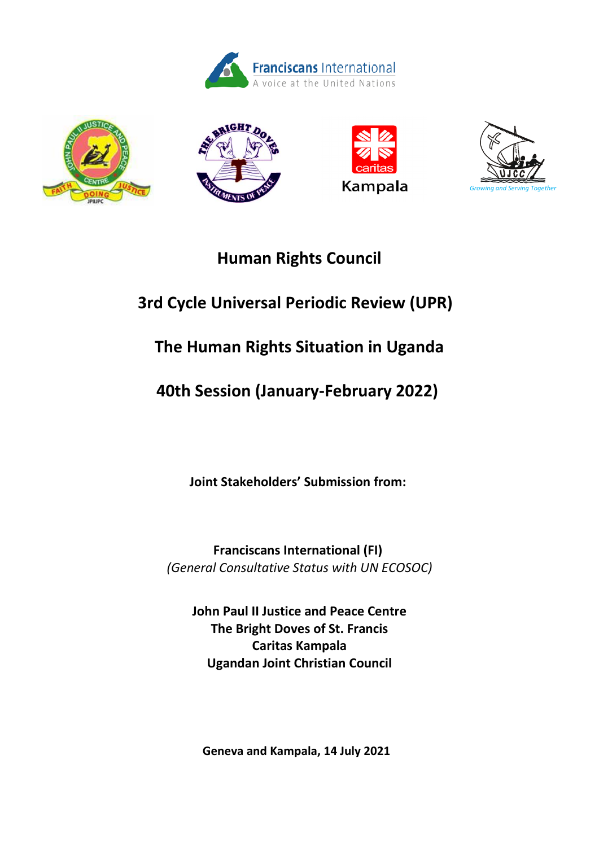









## **Human Rights Council**

# **3rd Cycle Universal Periodic Review (UPR)**

# **The Human Rights Situation in Uganda**

# **40th Session (January-February 2022)**

**Joint Stakeholders' Submission from:**

**Franciscans International (FI)** *(General Consultative Status with UN ECOSOC)*

**John Paul II Justice and Peace Centre The Bright Doves of St. Francis Caritas Kampala Ugandan Joint Christian Council**

**Geneva and Kampala, 14 July 2021**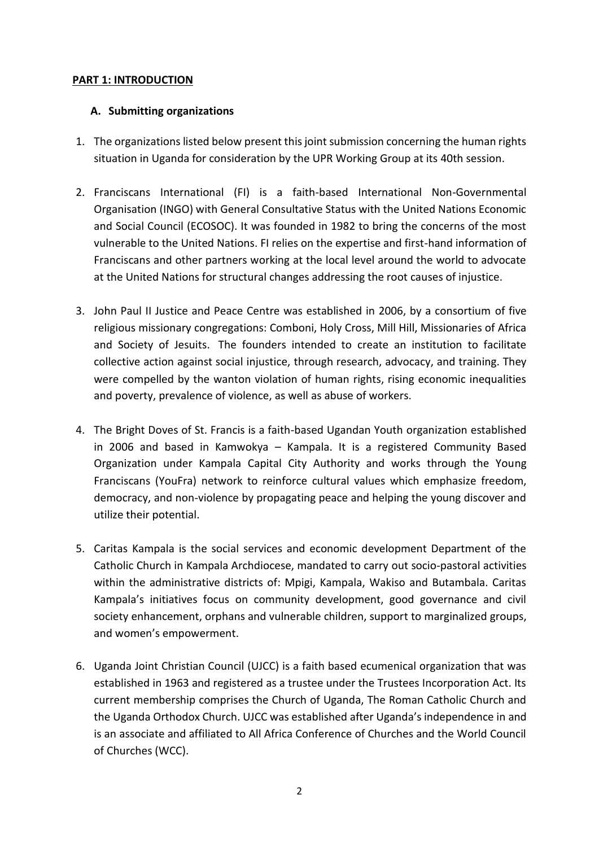## **PART 1: INTRODUCTION**

## **A. Submitting organizations**

- 1. The organizations listed below present this joint submission concerning the human rights situation in Uganda for consideration by the UPR Working Group at its 40th session.
- 2. Franciscans International (FI) is a faith-based International Non-Governmental Organisation (INGO) with General Consultative Status with the United Nations Economic and Social Council (ECOSOC). It was founded in 1982 to bring the concerns of the most vulnerable to the United Nations. FI relies on the expertise and first-hand information of Franciscans and other partners working at the local level around the world to advocate at the United Nations for structural changes addressing the root causes of injustice.
- 3. John Paul II Justice and Peace Centre was established in 2006, by a consortium of five religious missionary congregations: Comboni, Holy Cross, Mill Hill, Missionaries of Africa and Society of Jesuits. The founders intended to create an institution to facilitate collective action against social injustice, through research, advocacy, and training. They were compelled by the wanton violation of human rights, rising economic inequalities and poverty, prevalence of violence, as well as abuse of workers.
- 4. The Bright Doves of St. Francis is a faith-based Ugandan Youth organization established in 2006 and based in Kamwokya – Kampala. It is a registered Community Based Organization under Kampala Capital City Authority and works through the Young Franciscans (YouFra) network to reinforce cultural values which emphasize freedom, democracy, and non-violence by propagating peace and helping the young discover and utilize their potential.
- 5. Caritas Kampala is the social services and economic development Department of the Catholic Church in Kampala Archdiocese, mandated to carry out socio-pastoral activities within the administrative districts of: Mpigi, Kampala, Wakiso and Butambala. Caritas Kampala's initiatives focus on community development, good governance and civil society enhancement, orphans and vulnerable children, support to marginalized groups, and women's empowerment.
- 6. Uganda Joint Christian Council (UJCC) is a faith based ecumenical organization that was established in 1963 and registered as a trustee under the Trustees Incorporation Act. Its current membership comprises the Church of Uganda, The Roman Catholic Church and the Uganda Orthodox Church. UJCC was established after Uganda's independence in and is an associate and affiliated to All Africa Conference of Churches and the World Council of Churches (WCC).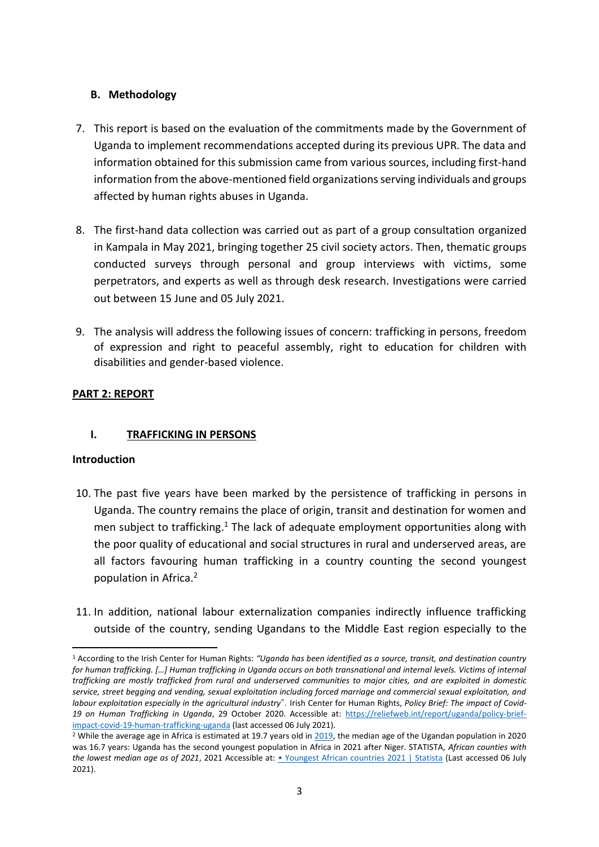## **B. Methodology**

- 7. This report is based on the evaluation of the commitments made by the Government of Uganda to implement recommendations accepted during its previous UPR. The data and information obtained for this submission came from various sources, including first-hand information from the above-mentioned field organizations serving individuals and groups affected by human rights abuses in Uganda.
- 8. The first-hand data collection was carried out as part of a group consultation organized in Kampala in May 2021, bringing together 25 civil society actors. Then, thematic groups conducted surveys through personal and group interviews with victims, some perpetrators, and experts as well as through desk research. Investigations were carried out between 15 June and 05 July 2021.
- 9. The analysis will address the following issues of concern: trafficking in persons, freedom of expression and right to peaceful assembly, right to education for children with disabilities and gender-based violence.

## **PART 2: REPORT**

## **I. TRAFFICKING IN PERSONS**

## **Introduction**

- 10. The past five years have been marked by the persistence of trafficking in persons in Uganda. The country remains the place of origin, transit and destination for women and men subject to trafficking.<sup>1</sup> The lack of adequate employment opportunities along with the poor quality of educational and social structures in rural and underserved areas, are all factors favouring human trafficking in a country counting the second youngest population in Africa.<sup>2</sup>
- 11. In addition, national labour externalization companies indirectly influence trafficking outside of the country, sending Ugandans to the Middle East region especially to the

<sup>1</sup> According to the Irish Center for Human Rights: *"Uganda has been identified as a source, transit, and destination country for human trafficking. […] Human trafficking in Uganda occurs on both transnational and internal levels. Victims of internal trafficking are mostly trafficked from rural and underserved communities to major cities, and are exploited in domestic service, street begging and vending, sexual exploitation including forced marriage and commercial sexual exploitation, and labour exploitation especially in the agricultural industry*". Irish Center for Human Rights, *Policy Brief: The impact of Covid-19 on Human Trafficking in Uganda*, 29 October 2020. Accessible at: [https://reliefweb.int/report/uganda/policy-brief](https://reliefweb.int/report/uganda/policy-brief-impact-covid-19-human-trafficking-uganda)[impact-covid-19-human-trafficking-uganda](https://reliefweb.int/report/uganda/policy-brief-impact-covid-19-human-trafficking-uganda) (last accessed 06 July 2021).

<sup>&</sup>lt;sup>2</sup> While the average age in Africa is estimated at 19.7 years old in [2019,](https://www.worldometers.info/world-population/africa-population/#:~:text=The%20median%20age%20in%20Africa%20is%2019.7years.) the median age of the Ugandan population in 2020 was 16.7 years: Uganda has the second youngest population in Africa in 2021 after Niger. STATISTA, *African counties with the lowest median age as of 2021*, 2021 Accessible at: [• Youngest African countries 2021 | Statista](https://www.statista.com/statistics/1121264/median-age-in-africa-by-county/) (Last accessed 06 July 2021).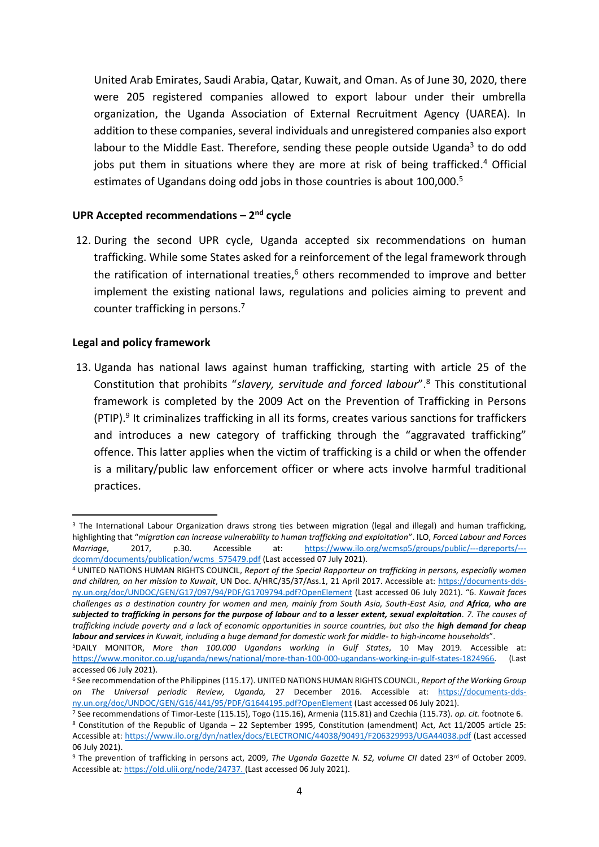United Arab Emirates, Saudi Arabia, Qatar, Kuwait, and Oman. As of June 30, 2020, there were 205 registered companies allowed to export labour under their umbrella organization, the Uganda Association of External Recruitment Agency (UAREA). In addition to these companies, several individuals and unregistered companies also export labour to the Middle East. Therefore, sending these people outside Uganda<sup>3</sup> to do odd jobs put them in situations where they are more at risk of being trafficked.<sup>4</sup> Official estimates of Ugandans doing odd jobs in those countries is about 100,000. 5

## **UPR Accepted recommendations – 2 nd cycle**

12. During the second UPR cycle, Uganda accepted six recommendations on human trafficking. While some States asked for a reinforcement of the legal framework through the ratification of international treaties, <sup>6</sup> others recommended to improve and better implement the existing national laws, regulations and policies aiming to prevent and counter trafficking in persons. 7

#### **Legal and policy framework**

13. Uganda has national laws against human trafficking, starting with article 25 of the Constitution that prohibits "*slavery, servitude and forced labour*". <sup>8</sup> This constitutional framework is completed by the 2009 Act on the Prevention of Trafficking in Persons (PTIP). 9 It criminalizes trafficking in all its forms, creates various sanctions for traffickers and introduces a new category of trafficking through the "aggravated trafficking" offence. This latter applies when the victim of trafficking is a child or when the offender is a military/public law enforcement officer or where acts involve harmful traditional practices.

<sup>&</sup>lt;sup>3</sup> The International Labour Organization draws strong ties between migration (legal and illegal) and human trafficking, highlighting that "*migration can increase vulnerability to human trafficking and exploitation*". ILO, *Forced Labour and Forces Marriage*, 2017, p.30. Accessible at: [https://www.ilo.org/wcmsp5/groups/public/---dgreports/--](https://www.ilo.org/wcmsp5/groups/public/---dgreports/---dcomm/documents/publication/wcms_575479.pdf) [dcomm/documents/publication/wcms\\_575479.pdf](https://www.ilo.org/wcmsp5/groups/public/---dgreports/---dcomm/documents/publication/wcms_575479.pdf) (Last accessed 07 July 2021).

<sup>4</sup> UNITED NATIONS HUMAN RIGHTS COUNCIL, *Report of the Special Rapporteur on trafficking in persons, especially women and children, on her mission to Kuwait*, UN Doc. A/HRC/35/37/Ass.1, 21 April 2017. Accessible at: [https://documents-dds](https://documents-dds-ny.un.org/doc/UNDOC/GEN/G17/097/94/PDF/G1709794.pdf?OpenElement)[ny.un.org/doc/UNDOC/GEN/G17/097/94/PDF/G1709794.pdf?OpenElement](https://documents-dds-ny.un.org/doc/UNDOC/GEN/G17/097/94/PDF/G1709794.pdf?OpenElement) (Last accessed 06 July 2021). "6. *Kuwait faces challenges as a destination country for women and men, mainly from South Asia, South-East Asia, and Africa, who are subjected to trafficking in persons for the purpose of labour and to a lesser extent, sexual exploitation. 7. The causes of trafficking include poverty and a lack of economic opportunities in source countries, but also the high demand for cheap labour and services in Kuwait, including a huge demand for domestic work for middle- to high-income households*".

<sup>5</sup>DAILY MONITOR, *More than 100.000 Ugandans working in Gulf States*, 10 May 2019. Accessible at: [https://www.monitor.co.ug/uganda/news/national/more-than-100-000-ugandans-working-in-gulf-states-1824966.](https://www.monitor.co.ug/uganda/news/national/more-than-100-000-ugandans-working-in-gulf-states-1824966) (Last accessed 06 July 2021).

<sup>6</sup> See recommendation of the Philippines (115.17). UNITED NATIONS HUMAN RIGHTS COUNCIL, *Report of the Working Group on The Universal periodic Review, Uganda,* 27 December 2016. Accessible at: [https://documents-dds](https://documents-dds-ny.un.org/doc/UNDOC/GEN/G16/441/95/PDF/G1644195.pdf?OpenElement)[ny.un.org/doc/UNDOC/GEN/G16/441/95/PDF/G1644195.pdf?OpenElement](https://documents-dds-ny.un.org/doc/UNDOC/GEN/G16/441/95/PDF/G1644195.pdf?OpenElement) (Last accessed 06 July 2021).

<sup>7</sup> See recommendations of Timor-Leste (115.15), Togo (115.16), Armenia (115.81) and Czechia (115.73). *op. cit.* footnote 6. <sup>8</sup> Constitution of the Republic of Uganda – 22 September 1995, Constitution (amendment) Act, Act 11/2005 article 25: Accessible at:<https://www.ilo.org/dyn/natlex/docs/ELECTRONIC/44038/90491/F206329993/UGA44038.pdf> (Last accessed 06 July 2021).

<sup>&</sup>lt;sup>9</sup> The prevention of trafficking in persons act, 2009, *The Uganda Gazette N. 52, volume CII* dated 23<sup>rd</sup> of October 2009. Accessible at*:* [https://old.ulii.org/node/24737.](https://old.ulii.org/node/24737) (Last accessed 06 July 2021).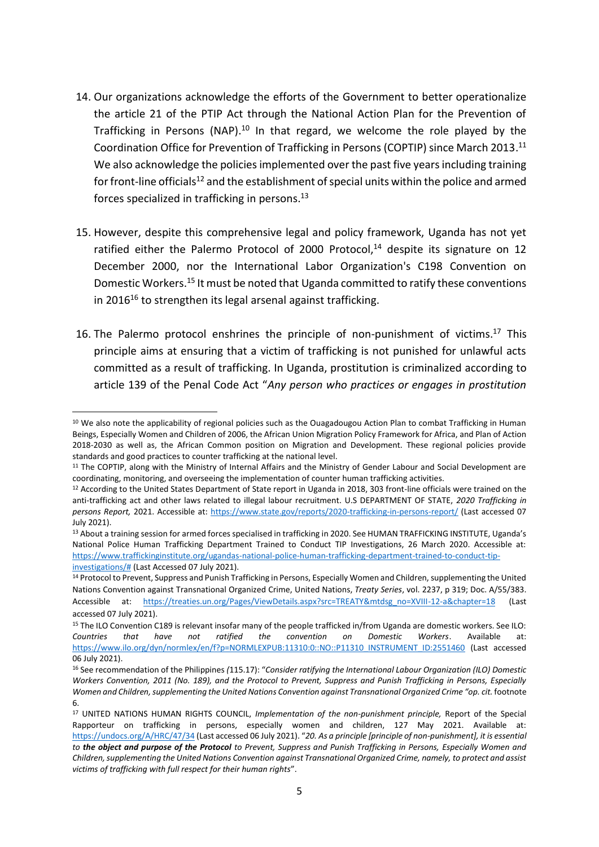- 14. Our organizations acknowledge the efforts of the Government to better operationalize the article 21 of the PTIP Act through the National Action Plan for the Prevention of Trafficking in Persons (NAP).<sup>10</sup> In that regard, we welcome the role played by the Coordination Office for Prevention of Trafficking in Persons (COPTIP) since March 2013. 11 We also acknowledge the policies implemented over the past five years including training for front-line officials<sup>12</sup> and the establishment of special units within the police and armed forces specialized in trafficking in persons.<sup>13</sup>
- 15. However, despite this comprehensive legal and policy framework, Uganda has not yet ratified either the Palermo Protocol of 2000 Protocol,<sup>14</sup> despite its signature on 12 December 2000, nor the International Labor Organization's C198 Convention on Domestic Workers. <sup>15</sup> It must be noted that Uganda committed to ratify these conventions in 2016<sup>16</sup> to strengthen its legal arsenal against trafficking.
- 16. The Palermo protocol enshrines the principle of non-punishment of victims.<sup>17</sup> This principle aims at ensuring that a victim of trafficking is not punished for unlawful acts committed as a result of trafficking. In Uganda, prostitution is criminalized according to article 139 of the Penal Code Act "*Any person who practices or engages in prostitution*

<sup>&</sup>lt;sup>10</sup> We also note the applicability of regional policies such as the Ouagadougou Action Plan to combat Trafficking in Human Beings, Especially Women and Children of 2006, the African Union Migration Policy Framework for Africa, and Plan of Action 2018-2030 as well as, the African Common position on Migration and Development. These regional policies provide standards and good practices to counter trafficking at the national level.

<sup>&</sup>lt;sup>11</sup> The COPTIP, along with the Ministry of Internal Affairs and the Ministry of Gender Labour and Social Development are coordinating, monitoring, and overseeing the implementation of counter human trafficking activities.

<sup>&</sup>lt;sup>12</sup> According to the United States Department of State report in Uganda in 2018, 303 front-line officials were trained on the anti-trafficking act and other laws related to illegal labour recruitment. U.S DEPARTMENT OF STATE, *2020 Trafficking in persons Report,* 2021. Accessible at:<https://www.state.gov/reports/2020-trafficking-in-persons-report/> (Last accessed 07 July 2021).

<sup>13</sup> About a training session for armed forces specialised in trafficking in 2020. See HUMAN TRAFFICKING INSTITUTE, Uganda's National Police Human Trafficking Department Trained to Conduct TIP Investigations, 26 March 2020. Accessible at: [https://www.traffickinginstitute.org/ugandas-national-police-human-trafficking-department-trained-to-conduct-tip](https://www.traffickinginstitute.org/ugandas-national-police-human-trafficking-department-trained-to-conduct-tip-investigations/)[investigations/#](https://www.traffickinginstitute.org/ugandas-national-police-human-trafficking-department-trained-to-conduct-tip-investigations/) (Last Accessed 07 July 2021).

<sup>14</sup> Protocol to Prevent, Suppress and Punish Trafficking in Persons, Especially Women and Children, supplementing the United Nations Convention against Transnational Organized Crime, United Nations, *Treaty Series*, vol. 2237, p 319; Doc. A/55/383. Accessible at: [https://treaties.un.org/Pages/ViewDetails.aspx?src=TREATY&mtdsg\\_no=XVIII-12-a&chapter=18](https://treaties.un.org/Pages/ViewDetails.aspx?src=TREATY&mtdsg_no=XVIII-12-a&chapter=18) (Last accessed 07 July 2021).

<sup>&</sup>lt;sup>15</sup> The ILO Convention C189 is relevant insofar many of the people trafficked in/from Uganda are domestic workers. See ILO: *Countries that have not ratified the convention on Domestic Workers*. Available at: [https://www.ilo.org/dyn/normlex/en/f?p=NORMLEXPUB:11310:0::NO::P11310\\_INSTRUMENT\\_ID:2551460](https://www.ilo.org/dyn/normlex/en/f?p=NORMLEXPUB:11310:0::NO::P11310_INSTRUMENT_ID:2551460) (Last accessed 06 July 2021).

<sup>16</sup> See recommendation of the Philippines *(*115.17): "*Consider ratifying the International Labour Organization (ILO) Domestic Workers Convention, 2011 (No. 189), and the Protocol to Prevent, Suppress and Punish Trafficking in Persons, Especially Women and Children, supplementing the United Nations Convention against Transnational Organized Crime "op. cit.* footnote 6.

<sup>17</sup> UNITED NATIONS HUMAN RIGHTS COUNCIL, *Implementation of the non-punishment principle,* Report of the Special Rapporteur on trafficking in persons, especially women and children, 127 May 2021. Available at: <https://undocs.org/A/HRC/47/34> (Last accessed 06 July 2021). "*20. As a principle [principle of non-punishment], it is essential to the object and purpose of the Protocol to Prevent, Suppress and Punish Trafficking in Persons, Especially Women and Children, supplementing the United Nations Convention against Transnational Organized Crime, namely, to protect and assist victims of trafficking with full respect for their human rights*".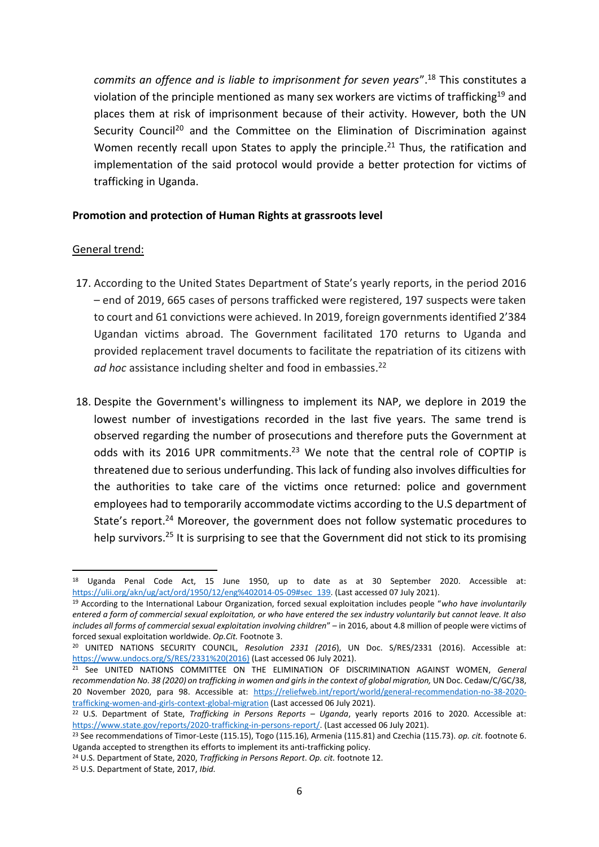*commits an offence and is liable to imprisonment for seven years*". <sup>18</sup> This constitutes a violation of the principle mentioned as many sex workers are victims of trafficking<sup>19</sup> and places them at risk of imprisonment because of their activity. However, both the UN Security Council<sup>20</sup> and the Committee on the Elimination of Discrimination against Women recently recall upon States to apply the principle.<sup>21</sup> Thus, the ratification and implementation of the said protocol would provide a better protection for victims of trafficking in Uganda.

#### **Promotion and protection of Human Rights at grassroots level**

#### General trend:

- 17. According to the United States Department of State's yearly reports, in the period 2016 – end of 2019, 665 cases of persons trafficked were registered, 197 suspects were taken to court and 61 convictions were achieved. In 2019, foreign governments identified 2'384 Ugandan victims abroad. The Government facilitated 170 returns to Uganda and provided replacement travel documents to facilitate the repatriation of its citizens with *ad hoc* assistance including shelter and food in embassies. 22
- 18. Despite the Government's willingness to implement its NAP, we deplore in 2019 the lowest number of investigations recorded in the last five years. The same trend is observed regarding the number of prosecutions and therefore puts the Government at odds with its 2016 UPR commitments.<sup>23</sup> We note that the central role of COPTIP is threatened due to serious underfunding. This lack of funding also involves difficulties for the authorities to take care of the victims once returned: police and government employees had to temporarily accommodate victims according to the U.S department of State's report.<sup>24</sup> Moreover, the government does not follow systematic procedures to help survivors.<sup>25</sup> It is surprising to see that the Government did not stick to its promising

<sup>18</sup> Uganda Penal Code Act, 15 June 1950, up to date as at 30 September 2020. Accessible at: [https://ulii.org/akn/ug/act/ord/1950/12/eng%402014-05-09#sec\\_139.](https://ulii.org/akn/ug/act/ord/1950/12/eng%402014-05-09#sec_139) (Last accessed 07 July 2021).

<sup>19</sup> According to the International Labour Organization, forced sexual exploitation includes people "*who have involuntarily entered a form of commercial sexual exploitation, or who have entered the sex industry voluntarily but cannot leave. It also includes all forms of commercial sexual exploitation involving children*" – in 2016, about 4.8 million of people were victims of forced sexual exploitation worldwide. *Op.Cit.* Footnote 3.

<sup>20</sup> UNITED NATIONS SECURITY COUNCIL, *Resolution 2331 (2016*), UN Doc. S/RES/2331 (2016). Accessible at: [https://www.undocs.org/S/RES/2331%20\(2016\)](https://www.undocs.org/S/RES/2331%20(2016)) (Last accessed 06 July 2021).

<sup>21</sup> See UNITED NATIONS COMMITTEE ON THE ELIMINATION OF DISCRIMINATION AGAINST WOMEN, *General recommendation No. 38 (2020) on trafficking in women and girls in the context of global migration,* UN Doc. Cedaw/C/GC/38, 20 November 2020, para 98. Accessible at: [https://reliefweb.int/report/world/general-recommendation-no-38-2020](https://reliefweb.int/report/world/general-recommendation-no-38-2020-trafficking-women-and-girls-context-global-migration) [trafficking-women-and-girls-context-global-migration](https://reliefweb.int/report/world/general-recommendation-no-38-2020-trafficking-women-and-girls-context-global-migration) (Last accessed 06 July 2021).

<sup>22</sup> U.S. Department of State, *Trafficking in Persons Reports – Uganda*, yearly reports 2016 to 2020. Accessible at: [https://www.state.gov/reports/2020-trafficking-in-persons-report/.](https://www.state.gov/reports/2020-trafficking-in-persons-report/) (Last accessed 06 July 2021).

<sup>23</sup> See recommendations of Timor-Leste (115.15), Togo (115.16), Armenia (115.81) and Czechia (115.73). *op. cit.* footnote 6. Uganda accepted to strengthen its efforts to implement its anti-trafficking policy.

<sup>24</sup> U.S. Department of State, 2020, *Trafficking in Persons Report*. *Op. cit.* footnote 12.

<sup>25</sup> U.S. Department of State, 2017, *Ibid.*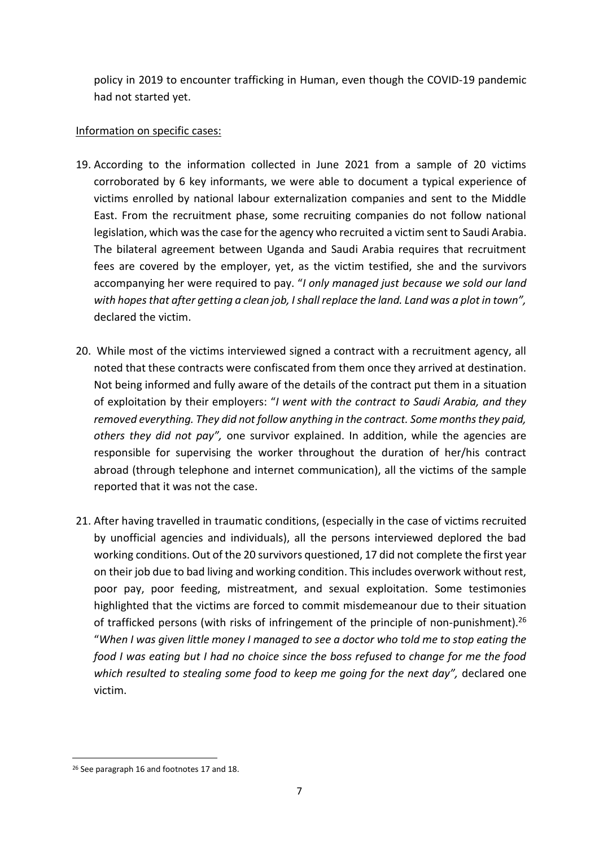policy in 2019 to encounter trafficking in Human, even though the COVID-19 pandemic had not started yet.

## Information on specific cases:

- 19. According to the information collected in June 2021 from a sample of 20 victims corroborated by 6 key informants, we were able to document a typical experience of victims enrolled by national labour externalization companies and sent to the Middle East. From the recruitment phase, some recruiting companies do not follow national legislation, which was the case for the agency who recruited a victim sent to Saudi Arabia. The bilateral agreement between Uganda and Saudi Arabia requires that recruitment fees are covered by the employer, yet, as the victim testified, she and the survivors accompanying her were required to pay. "*I only managed just because we sold our land with hopes that after getting a clean job, I shall replace the land. Land was a plot in town",*  declared the victim.
- 20. While most of the victims interviewed signed a contract with a recruitment agency, all noted that these contracts were confiscated from them once they arrived at destination. Not being informed and fully aware of the details of the contract put them in a situation of exploitation by their employers: "*I went with the contract to Saudi Arabia, and they removed everything. They did not follow anything in the contract. Some months they paid, others they did not pay",* one survivor explained. In addition, while the agencies are responsible for supervising the worker throughout the duration of her/his contract abroad (through telephone and internet communication), all the victims of the sample reported that it was not the case.
- 21. After having travelled in traumatic conditions, (especially in the case of victims recruited by unofficial agencies and individuals), all the persons interviewed deplored the bad working conditions. Out of the 20 survivors questioned, 17 did not complete the first year on their job due to bad living and working condition. This includes overwork without rest, poor pay, poor feeding, mistreatment, and sexual exploitation. Some testimonies highlighted that the victims are forced to commit misdemeanour due to their situation of trafficked persons (with risks of infringement of the principle of non-punishment).<sup>26</sup> "*When I was given little money I managed to see a doctor who told me to stop eating the food I was eating but I had no choice since the boss refused to change for me the food which resulted to stealing some food to keep me going for the next day",* declared one victim.

<sup>&</sup>lt;sup>26</sup> See paragraph 16 and footnotes 17 and 18.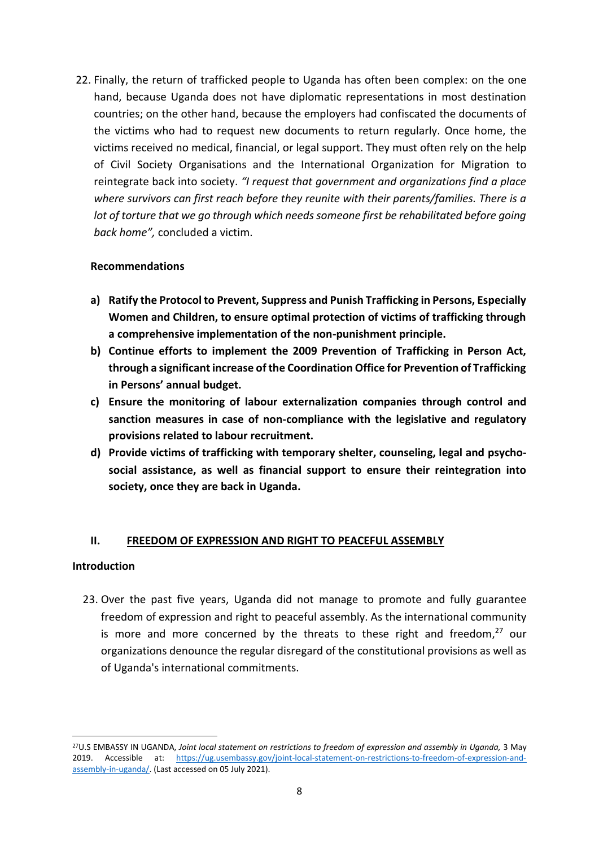22. Finally, the return of trafficked people to Uganda has often been complex: on the one hand, because Uganda does not have diplomatic representations in most destination countries; on the other hand, because the employers had confiscated the documents of the victims who had to request new documents to return regularly. Once home, the victims received no medical, financial, or legal support. They must often rely on the help of Civil Society Organisations and the International Organization for Migration to reintegrate back into society. *"I request that government and organizations find a place where survivors can first reach before they reunite with their parents/families. There is a lot of torture that we go through which needs someone first be rehabilitated before going back home",* concluded a victim.

### **Recommendations**

- **a) Ratify the Protocol to Prevent, Suppress and Punish Trafficking in Persons, Especially Women and Children, to ensure optimal protection of victims of trafficking through a comprehensive implementation of the non-punishment principle.**
- **b) Continue efforts to implement the 2009 Prevention of Trafficking in Person Act, through a significant increase of the Coordination Office for Prevention of Trafficking in Persons' annual budget.**
- **c) Ensure the monitoring of labour externalization companies through control and sanction measures in case of non-compliance with the legislative and regulatory provisions related to labour recruitment.**
- **d) Provide victims of trafficking with temporary shelter, counseling, legal and psychosocial assistance, as well as financial support to ensure their reintegration into society, once they are back in Uganda.**

## **II. FREEDOM OF EXPRESSION AND RIGHT TO PEACEFUL ASSEMBLY**

#### **Introduction**

23. Over the past five years, Uganda did not manage to promote and fully guarantee freedom of expression and right to peaceful assembly. As the international community is more and more concerned by the threats to these right and freedom,<sup>27</sup> our organizations denounce the regular disregard of the constitutional provisions as well as of Uganda's international commitments.

<sup>27</sup>U.S EMBASSY IN UGANDA, *Joint local statement on restrictions to freedom of expression and assembly in Uganda,* 3 May 2019. Accessible at: [https://ug.usembassy.gov/joint-local-statement-on-restrictions-to-freedom-of-expression-and](https://ug.usembassy.gov/joint-local-statement-on-restrictions-to-freedom-of-expression-and-assembly-in-uganda/)[assembly-in-uganda/.](https://ug.usembassy.gov/joint-local-statement-on-restrictions-to-freedom-of-expression-and-assembly-in-uganda/) (Last accessed on 05 July 2021).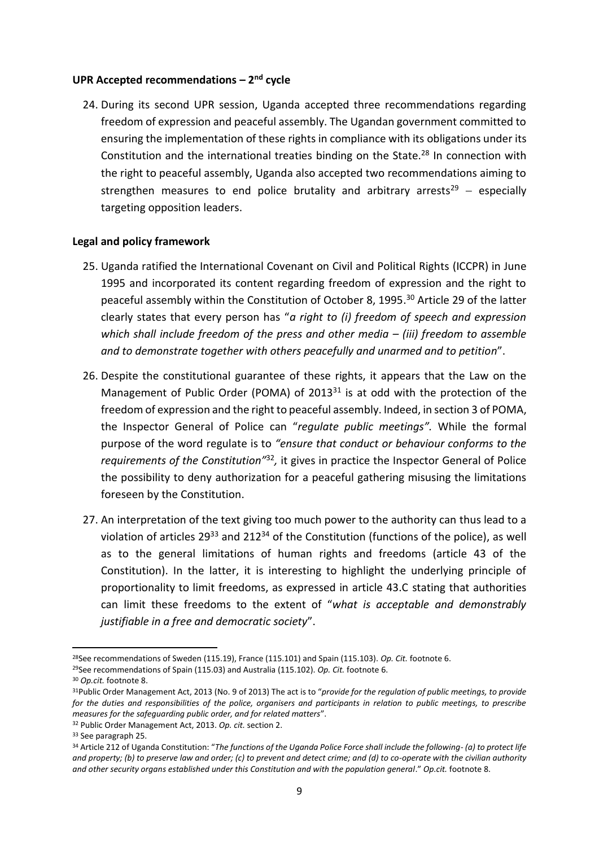## **UPR Accepted recommendations – 2 nd cycle**

24. During its second UPR session, Uganda accepted three recommendations regarding freedom of expression and peaceful assembly. The Ugandan government committed to ensuring the implementation of these rights in compliance with its obligations under its Constitution and the international treaties binding on the State.<sup>28</sup> In connection with the right to peaceful assembly, Uganda also accepted two recommendations aiming to strengthen measures to end police brutality and arbitrary arrests<sup>29</sup> – especially targeting opposition leaders.

#### **Legal and policy framework**

- 25. Uganda ratified the International Covenant on Civil and Political Rights (ICCPR) in June 1995 and incorporated its content regarding freedom of expression and the right to peaceful assembly within the Constitution of October 8, 1995. <sup>30</sup> Article 29 of the latter clearly states that every person has "*a right to (i) freedom of speech and expression which shall include freedom of the press and other media – (iii) freedom to assemble and to demonstrate together with others peacefully and unarmed and to petition*".
- 26. Despite the constitutional guarantee of these rights, it appears that the Law on the Management of Public Order (POMA) of 2013 $31$  is at odd with the protection of the freedom of expression and the right to peaceful assembly. Indeed, in section 3 of POMA, the Inspector General of Police can "*regulate public meetings".* While the formal purpose of the word regulate is to *"ensure that conduct or behaviour conforms to the*  requirements of the Constitution<sup>132</sup>, it gives in practice the Inspector General of Police the possibility to deny authorization for a peaceful gathering misusing the limitations foreseen by the Constitution.
- 27. An interpretation of the text giving too much power to the authority can thus lead to a violation of articles  $29^{33}$  and  $212^{34}$  of the Constitution (functions of the police), as well as to the general limitations of human rights and freedoms (article 43 of the Constitution). In the latter, it is interesting to highlight the underlying principle of proportionality to limit freedoms, as expressed in article 43.C stating that authorities can limit these freedoms to the extent of "*what is acceptable and demonstrably justifiable in a free and democratic society*".

<sup>28</sup>See recommendations of Sweden (115.19), France (115.101) and Spain (115.103). *Op. Cit.* footnote 6.

<sup>29</sup>See recommendations of Spain (115.03) and Australia (115.102). *Op. Cit.* footnote 6.

<sup>30</sup> *Op.cit.* footnote 8.

<sup>31</sup>Public Order Management Act, 2013 (No. 9 of 2013) The act is to "*provide for the regulation of public meetings, to provide for the duties and responsibilities of the police, organisers and participants in relation to public meetings, to prescribe measures for the safeguarding public order, and for related matters*".

<sup>32</sup> Public Order Management Act, 2013. *Op. cit.* section 2.

<sup>33</sup> See paragraph 25.

<sup>34</sup> Article 212 of Uganda Constitution: "*The functions of the Uganda Police Force shall include the following- (a) to protect life and property; (b) to preserve law and order; (c) to prevent and detect crime; and (d) to co-operate with the civilian authority and other security organs established under this Constitution and with the population general*." *Op.cit.* footnote 8.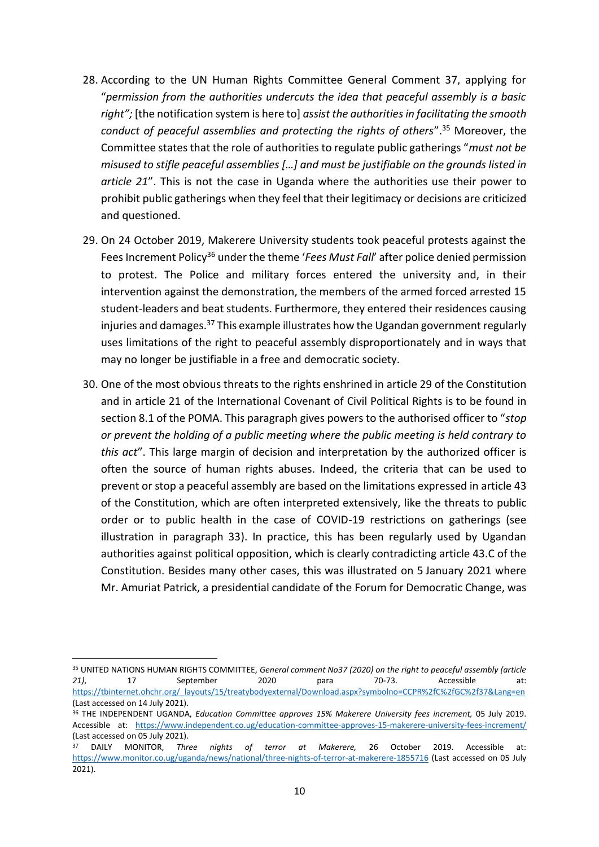- 28. According to the UN Human Rights Committee General Comment 37, applying for "*permission from the authorities undercuts the idea that peaceful assembly is a basic right";* [the notification system is here to] *assist the authorities in facilitating the smooth conduct of peaceful assemblies and protecting the rights of others*". <sup>35</sup> Moreover, the Committee states that the role of authorities to regulate public gatherings "*must not be misused to stifle peaceful assemblies […] and must be justifiable on the grounds listed in article 21*". This is not the case in Uganda where the authorities use their power to prohibit public gatherings when they feel that their legitimacy or decisions are criticized and questioned.
- 29. On 24 October 2019, Makerere University students took peaceful protests against the Fees Increment Policy<sup>36</sup> under the theme '*Fees Must Fall'* after police denied permission to protest. The Police and military forces entered the university and, in their intervention against the demonstration, the members of the armed forced arrested 15 student-leaders and beat students. Furthermore, they entered their residences causing injuries and damages.<sup>37</sup> This example illustrates how the Ugandan government regularly uses limitations of the right to peaceful assembly disproportionately and in ways that may no longer be justifiable in a free and democratic society.
- 30. One of the most obvious threats to the rights enshrined in article 29 of the Constitution and in article 21 of the International Covenant of Civil Political Rights is to be found in section 8.1 of the POMA. This paragraph gives powers to the authorised officer to "*stop or prevent the holding of a public meeting where the public meeting is held contrary to this act*". This large margin of decision and interpretation by the authorized officer is often the source of human rights abuses. Indeed, the criteria that can be used to prevent or stop a peaceful assembly are based on the limitations expressed in article 43 of the Constitution, which are often interpreted extensively, like the threats to public order or to public health in the case of COVID-19 restrictions on gatherings (see illustration in paragraph 33). In practice, this has been regularly used by Ugandan authorities against political opposition, which is clearly contradicting article 43.C of the Constitution. Besides many other cases, this was illustrated on 5 January 2021 where Mr. Amuriat Patrick, a presidential candidate of the Forum for Democratic Change, was

<sup>35</sup> UNITED NATIONS HUMAN RIGHTS COMMITTEE, *General comment No37 (2020) on the right to peaceful assembly (article 21)*, 17 September 2020 para 70-73. Accessible at: [https://tbinternet.ohchr.org/\\_layouts/15/treatybodyexternal/Download.aspx?symbolno=CCPR%2fC%2fGC%2f37&Lang=en](https://tbinternet.ohchr.org/_layouts/15/treatybodyexternal/Download.aspx?symbolno=CCPR%2fC%2fGC%2f37&Lang=en) (Last accessed on 14 July 2021).

<sup>36</sup> THE INDEPENDENT UGANDA, *Education Committee approves 15% Makerere University fees increment,* 05 July 2019. Accessible at: <https://www.independent.co.ug/education-committee-approves-15-makerere-university-fees-increment/> (Last accessed on 05 July 2021).

<sup>37</sup> DAILY MONITOR, *Three nights of terror at Makerere,* 26 October 2019. Accessible at: <https://www.monitor.co.ug/uganda/news/national/three-nights-of-terror-at-makerere-1855716> (Last accessed on 05 July 2021).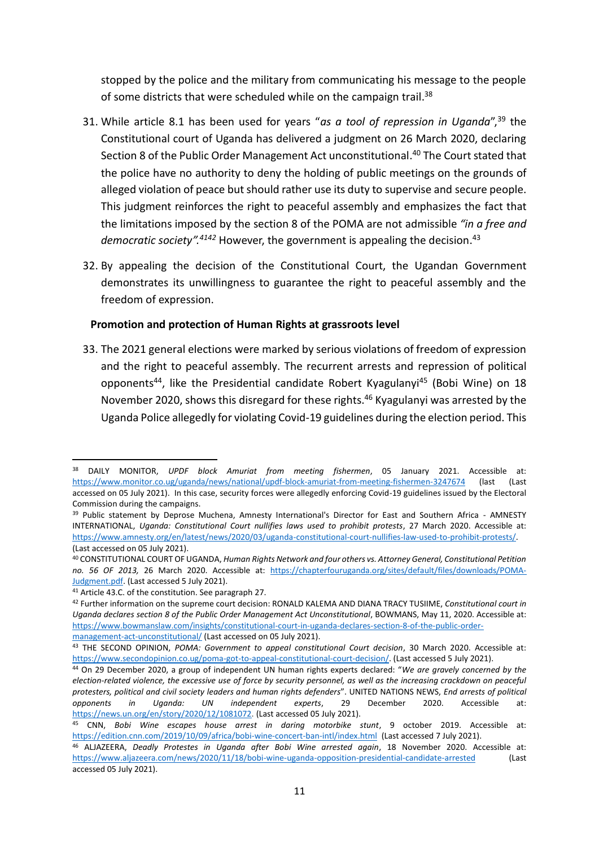stopped by the police and the military from communicating his message to the people of some districts that were scheduled while on the campaign trail.<sup>38</sup>

- 31. While article 8.1 has been used for years "*as a tool of repression in Uganda*", <sup>39</sup> the Constitutional court of Uganda has delivered a judgment on 26 March 2020, declaring Section 8 of the Public Order Management Act unconstitutional.<sup>40</sup> The Court stated that the police have no authority to deny the holding of public meetings on the grounds of alleged violation of peace but should rather use its duty to supervise and secure people. This judgment reinforces the right to peaceful assembly and emphasizes the fact that the limitations imposed by the section 8 of the POMA are not admissible *"in a free and*  democratic society".<sup>4142</sup> However, the government is appealing the decision.<sup>43</sup>
- 32. By appealing the decision of the Constitutional Court, the Ugandan Government demonstrates its unwillingness to guarantee the right to peaceful assembly and the freedom of expression.

#### **Promotion and protection of Human Rights at grassroots level**

33. The 2021 general elections were marked by serious violations of freedom of expression and the right to peaceful assembly. The recurrent arrests and repression of political opponents<sup>44</sup>, like the Presidential candidate Robert Kyagulanyi<sup>45</sup> (Bobi Wine) on 18 November 2020, shows this disregard for these rights.<sup>46</sup> Kyagulanyi was arrested by the Uganda Police allegedly for violating Covid-19 guidelines during the election period. This

<sup>38</sup> DAILY MONITOR, *UPDF block Amuriat from meeting fishermen*, 05 January 2021. Accessible at: <https://www.monitor.co.ug/uganda/news/national/updf-block-amuriat-from-meeting-fishermen-3247674> (last (Last accessed on 05 July 2021). In this case, security forces were allegedly enforcing Covid-19 guidelines issued by the Electoral Commission during the campaigns.

<sup>&</sup>lt;sup>39</sup> Public statement by Deprose Muchena, Amnesty International's Director for East and Southern Africa - AMNESTY INTERNATIONAL, *Uganda: Constitutional Court nullifies laws used to prohibit protests*, 27 March 2020. Accessible at: [https://www.amnesty.org/en/latest/news/2020/03/uganda-constitutional-court-nullifies-law-used-to-prohibit-protests/.](https://www.amnesty.org/en/latest/news/2020/03/uganda-constitutional-court-nullifies-law-used-to-prohibit-protests/) (Last accessed on 05 July 2021).

<sup>40</sup> CONSTITUTIONAL COURT OF UGANDA, *Human Rights Network and four others vs. Attorney General, Constitutional Petition no. 56 OF 2013,* 26 March 2020. Accessible at: [https://chapterfouruganda.org/sites/default/files/downloads/POMA-](https://chapterfouruganda.org/sites/default/files/downloads/POMA-Judgment.pdf)[Judgment.pdf.](https://chapterfouruganda.org/sites/default/files/downloads/POMA-Judgment.pdf) (Last accessed 5 July 2021).

<sup>41</sup> Article 43.C. of the constitution. See paragraph 27.

<sup>42</sup> Further information on the supreme court decision: RONALD KALEMA AND DIANA TRACY TUSIIME, *Constitutional court in Uganda declares section 8 of the Public Order Management Act Unconstitutional*, BOWMANS, May 11, 2020. Accessible at: [https://www.bowmanslaw.com/insights/constitutional-court-in-uganda-declares-section-8-of-the-public-order](https://www.bowmanslaw.com/insights/constitutional-court-in-uganda-declares-section-8-of-the-public-order-management-act-unconstitutional/)[management-act-unconstitutional/](https://www.bowmanslaw.com/insights/constitutional-court-in-uganda-declares-section-8-of-the-public-order-management-act-unconstitutional/) (Last accessed on 05 July 2021).

<sup>43</sup> THE SECOND OPINION, *POMA: Government to appeal constitutional Court decision*, 30 March 2020. Accessible at: [https://www.secondopinion.co.ug/poma-got-to-appeal-constitutional-court-decision/.](https://www.secondopinion.co.ug/poma-got-to-appeal-constitutional-court-decision/) (Last accessed 5 July 2021).

<sup>44</sup> On 29 December 2020, a group of independent UN human rights experts declared: "*We are gravely concerned by the election-related violence, the excessive use of force by security personnel, as well as the increasing crackdown on peaceful protesters, political and civil society leaders and human rights defenders*". UNITED NATIONS NEWS, *End arrests of political opponents in Uganda: UN independent experts*, 29 December 2020. Accessible at: [https://news.un.org/en/story/2020/12/1081072.](https://news.un.org/en/story/2020/12/1081072) (Last accessed 05 July 2021).

<sup>45</sup> CNN, *Bobi Wine escapes house arrest in daring motorbike stunt*, 9 october 2019. Accessible at: <https://edition.cnn.com/2019/10/09/africa/bobi-wine-concert-ban-intl/index.html> (Last accessed 7 July 2021).

<sup>46</sup> ALJAZEERA, *Deadly Protestes in Uganda after Bobi Wine arrested again*, 18 November 2020. Accessible at: <https://www.aljazeera.com/news/2020/11/18/bobi-wine-uganda-opposition-presidential-candidate-arrested> (Last accessed 05 July 2021).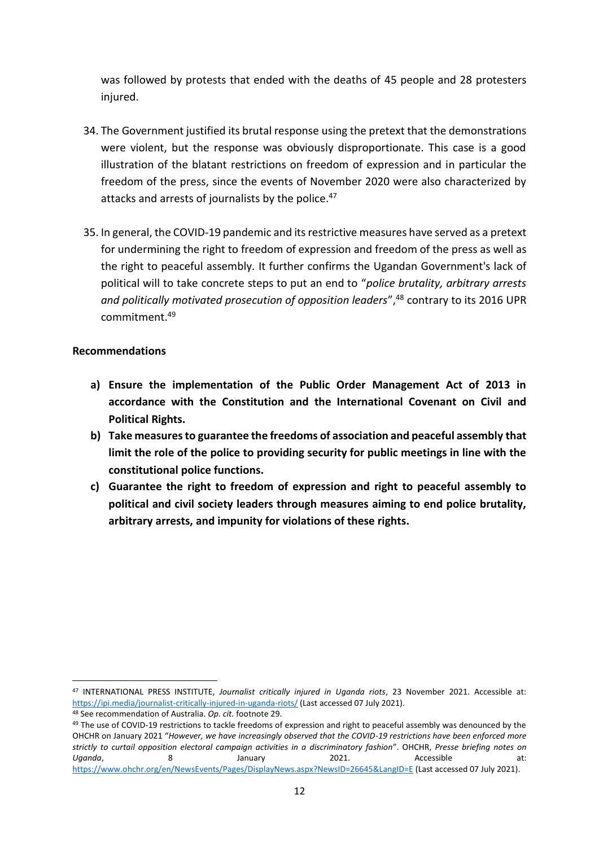was followed by protests that ended with the deaths of 45 people and 28 protesters injured.

- 34. The Government justified its brutal response using the pretext that the demonstrations were violent, but the response was obviously disproportionate. This case is a good illustration of the blatant restrictions on freedom of expression and in particular the freedom of the press, since the events of November 2020 were also characterized by attacks and arrests of journalists by the police.<sup>47</sup>
- 35. In general, the COVID-19 pandemic and its restrictive measures have served as a pretext for undermining the right to freedom of expression and freedom of the press as well as the right to peaceful assembly. It further confirms the Ugandan Government's lack of political will to take concrete steps to put an end to "*police brutality, arbitrary arrests and politically motivated prosecution of opposition leaders*", <sup>48</sup> contrary to its 2016 UPR commitment. 49

### **Recommendations**

- **a) Ensure the implementation of the Public Order Management Act of 2013 in accordance with the Constitution and the International Covenant on Civil and Political Rights.**
- **b) Take measures to guarantee the freedoms of association and peaceful assembly that limit the role of the police to providing security for public meetings in line with the constitutional police functions.**
- **c) Guarantee the right to freedom of expression and right to peaceful assembly to political and civil society leaders through measures aiming to end police brutality, arbitrary arrests, and impunity for violations of these rights.**

<sup>47</sup> INTERNATIONAL PRESS INSTITUTE, *Journalist critically injured in Uganda riots*, 23 November 2021. Accessible at: <https://ipi.media/journalist-critically-injured-in-uganda-riots/> (Last accessed 07 July 2021).

<sup>48</sup> See recommendation of Australia. *Op. cit.* footnote 29.

<sup>&</sup>lt;sup>49</sup> The use of COVID-19 restrictions to tackle freedoms of expression and right to peaceful assembly was denounced by the OHCHR on January 2021 "*However, we have increasingly observed that the COVID-19 restrictions have been enforced more strictly to curtail opposition electoral campaign activities in a discriminatory fashion*". OHCHR, *Presse briefing notes on*  Uganda, and a Samuary 2021. Accessible at: <https://www.ohchr.org/en/NewsEvents/Pages/DisplayNews.aspx?NewsID=26645&LangID=E> (Last accessed 07 July 2021).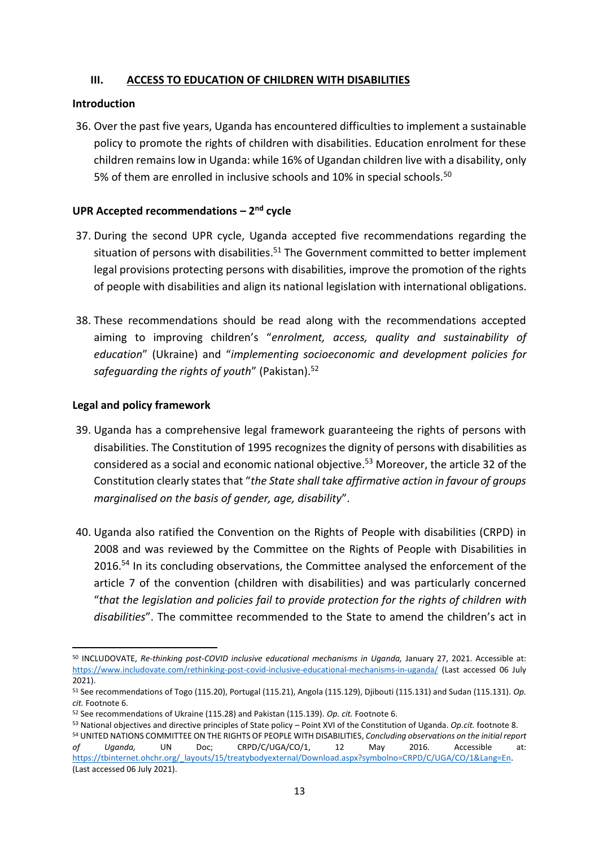## **III. ACCESS TO EDUCATION OF CHILDREN WITH DISABILITIES**

#### **Introduction**

36. Over the past five years, Uganda has encountered difficulties to implement a sustainable policy to promote the rights of children with disabilities. Education enrolment for these children remains low in Uganda: while 16% of Ugandan children live with a disability, only 5% of them are enrolled in inclusive schools and 10% in special schools.<sup>50</sup>

## **UPR Accepted recommendations – 2 nd cycle**

- 37. During the second UPR cycle, Uganda accepted five recommendations regarding the situation of persons with disabilities.<sup>51</sup> The Government committed to better implement legal provisions protecting persons with disabilities, improve the promotion of the rights of people with disabilities and align its national legislation with international obligations.
- 38. These recommendations should be read along with the recommendations accepted aiming to improving children's "*enrolment, access, quality and sustainability of education*" (Ukraine) and "*implementing socioeconomic and development policies for safeguarding the rights of youth*" (Pakistan). 52

#### **Legal and policy framework**

- 39. Uganda has a comprehensive legal framework guaranteeing the rights of persons with disabilities. The Constitution of 1995 recognizes the dignity of persons with disabilities as considered as a social and economic national objective. <sup>53</sup> Moreover, the article 32 of the Constitution clearly states that "*the State shall take affirmative action in favour of groups marginalised on the basis of gender, age, disability*".
- 40. Uganda also ratified the Convention on the Rights of People with disabilities (CRPD) in 2008 and was reviewed by the Committee on the Rights of People with Disabilities in 2016.<sup>54</sup> In its concluding observations, the Committee analysed the enforcement of the article 7 of the convention (children with disabilities) and was particularly concerned "*that the legislation and policies fail to provide protection for the rights of children with disabilities*". The committee recommended to the State to amend the children's act in

<sup>50</sup> INCLUDOVATE, *Re-thinking post-COVID inclusive educational mechanisms in Uganda,* January 27, 2021. Accessible at: <https://www.includovate.com/rethinking-post-covid-inclusive-educational-mechanisms-in-uganda/> (Last accessed 06 July 2021).

<sup>51</sup> See recommendations of Togo (115.20), Portugal (115.21), Angola (115.129), Djibouti (115.131) and Sudan (115.131). *Op. cit.* Footnote 6.

<sup>52</sup> See recommendations of Ukraine (115.28) and Pakistan (115.139). *Op. cit.* Footnote 6.

<sup>53</sup> National objectives and directive principles of State policy – Point XVI of the Constitution of Uganda. *Op.cit.* footnote 8. <sup>54</sup> UNITED NATIONS COMMITTEE ON THE RIGHTS OF PEOPLE WITH DISABILITIES, *Concluding observations on the initial report of Uganda,* UN Doc; CRPD/C/UGA/CO/1, 12 May 2016. Accessible at: [https://tbinternet.ohchr.org/\\_layouts/15/treatybodyexternal/Download.aspx?symbolno=CRPD/C/UGA/CO/1&Lang=En.](https://tbinternet.ohchr.org/_layouts/15/treatybodyexternal/Download.aspx?symbolno=CRPD/C/UGA/CO/1&Lang=En) (Last accessed 06 July 2021).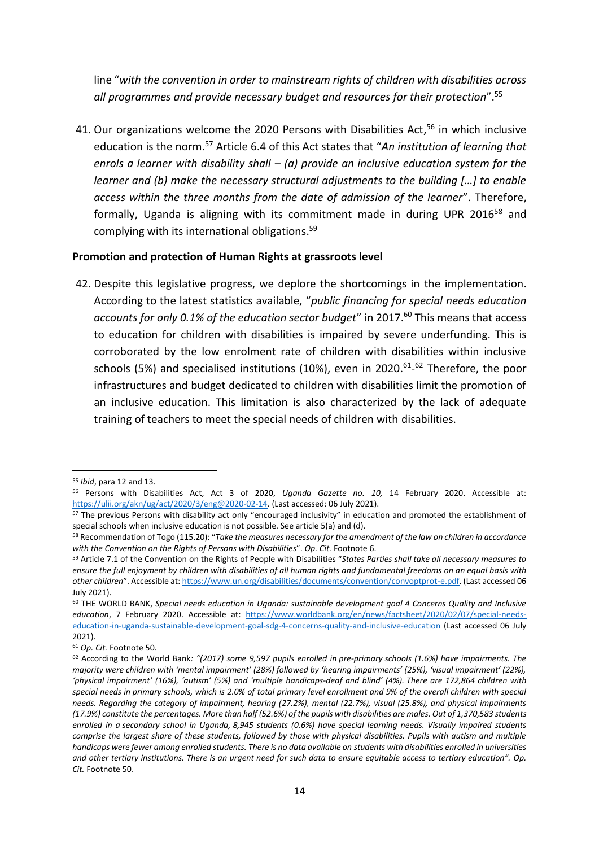line "*with the convention in order to mainstream rights of children with disabilities across all programmes and provide necessary budget and resources for their protection*". 55

41. Our organizations welcome the 2020 Persons with Disabilities Act, <sup>56</sup> in which inclusive education is the norm. <sup>57</sup> Article 6.4 of this Act states that "*An institution of learning that enrols a learner with disability shall – (a) provide an inclusive education system for the learner and (b) make the necessary structural adjustments to the building […] to enable access within the three months from the date of admission of the learner*". Therefore, formally, Uganda is aligning with its commitment made in during UPR 2016<sup>58</sup> and complying with its international obligations. 59

#### **Promotion and protection of Human Rights at grassroots level**

42. Despite this legislative progress, we deplore the shortcomings in the implementation. According to the latest statistics available, "*public financing for special needs education accounts for only 0.1% of the education sector budget*" in 2017. <sup>60</sup> This means that access to education for children with disabilities is impaired by severe underfunding. This is corroborated by the low enrolment rate of children with disabilities within inclusive schools (5%) and specialised institutions (10%), even in 2020.<sup>61</sup>-<sup>62</sup> Therefore, the poor infrastructures and budget dedicated to children with disabilities limit the promotion of an inclusive education. This limitation is also characterized by the lack of adequate training of teachers to meet the special needs of children with disabilities.

<sup>55</sup> *Ibid*, para 12 and 13.

<sup>56</sup> Persons with Disabilities Act, Act 3 of 2020, *Uganda Gazette no. 10,* 14 February 2020. Accessible at: [https://ulii.org/akn/ug/act/2020/3/eng@2020-02-14.](https://ulii.org/akn/ug/act/2020/3/eng@2020-02-14) (Last accessed: 06 July 2021).

<sup>&</sup>lt;sup>57</sup> The previous Persons with disability act only "encouraged inclusivity" in education and promoted the establishment of special schools when inclusive education is not possible. See article 5(a) and (d).

<sup>58</sup> Recommendation of Togo (115.20): "*Take the measures necessary for the amendment of the law on children in accordance with the Convention on the Rights of Persons with Disabilities*". *Op. Cit.* Footnote 6.

<sup>59</sup> Article 7.1 of the Convention on the Rights of People with Disabilities "*States Parties shall take all necessary measures to ensure the full enjoyment by children with disabilities of all human rights and fundamental freedoms on an equal basis with other children*". Accessible at: [https://www.un.org/disabilities/documents/convention/convoptprot-e.pdf.](https://www.un.org/disabilities/documents/convention/convoptprot-e.pdf) (Last accessed 06 July 2021).

<sup>60</sup> THE WORLD BANK, *Special needs education in Uganda: sustainable development goal 4 Concerns Quality and Inclusive education*, 7 February 2020. Accessible at: [https://www.worldbank.org/en/news/factsheet/2020/02/07/special-needs](https://www.worldbank.org/en/news/factsheet/2020/02/07/special-needs-education-in-uganda-sustainable-development-goal-sdg-4-concerns-quality-and-inclusive-education)[education-in-uganda-sustainable-development-goal-sdg-4-concerns-quality-and-inclusive-education](https://www.worldbank.org/en/news/factsheet/2020/02/07/special-needs-education-in-uganda-sustainable-development-goal-sdg-4-concerns-quality-and-inclusive-education) (Last accessed 06 July 2021).

<sup>61</sup> *Op. Cit.* Footnote 50.

<sup>62</sup> According to the World Bank*: "(2017) some 9,597 pupils enrolled in pre-primary schools (1.6%) have impairments. The majority were children with 'mental impairment' (28%) followed by 'hearing impairments' (25%), 'visual impairment' (22%), 'physical impairment' (16%), 'autism' (5%) and 'multiple handicaps-deaf and blind' (4%). There are 172,864 children with special needs in primary schools, which is 2.0% of total primary level enrollment and 9% of the overall children with special needs. Regarding the category of impairment, hearing (27.2%), mental (22.7%), visual (25.8%), and physical impairments (17.9%) constitute the percentages. More than half (52.6%) of the pupils with disabilities are males. Out of 1,370,583 students enrolled in a secondary school in Uganda, 8,945 students (0.6%) have special learning needs. Visually impaired students comprise the largest share of these students, followed by those with physical disabilities. Pupils with autism and multiple handicaps were fewer among enrolled students. There is no data available on students with disabilities enrolled in universities and other tertiary institutions. There is an urgent need for such data to ensure equitable access to tertiary education". Op. Cit.* Footnote 50.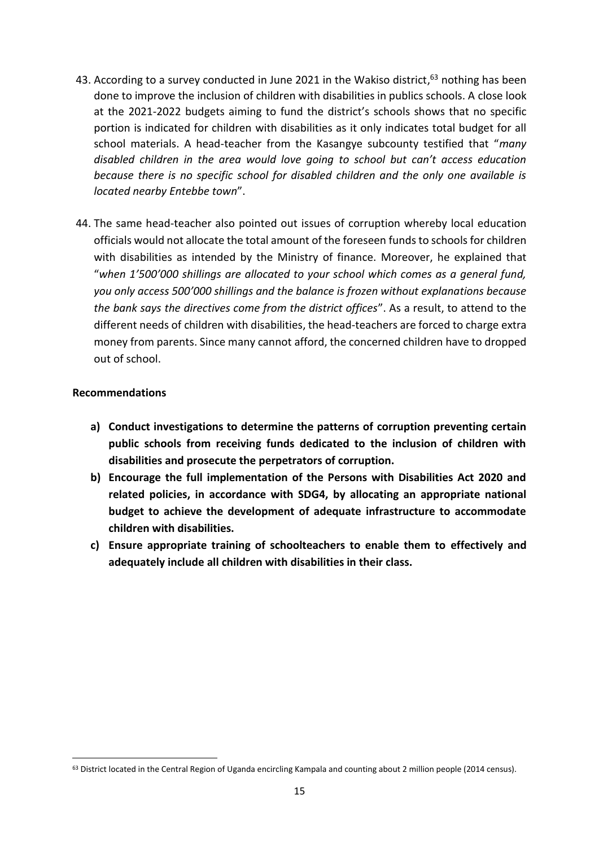- 43. According to a survey conducted in June 2021 in the Wakiso district,<sup>63</sup> nothing has been done to improve the inclusion of children with disabilities in publics schools. A close look at the 2021-2022 budgets aiming to fund the district's schools shows that no specific portion is indicated for children with disabilities as it only indicates total budget for all school materials. A head-teacher from the Kasangye subcounty testified that "*many disabled children in the area would love going to school but can't access education because there is no specific school for disabled children and the only one available is located nearby Entebbe town*".
- 44. The same head-teacher also pointed out issues of corruption whereby local education officials would not allocate the total amount of the foreseen funds to schools for children with disabilities as intended by the Ministry of finance. Moreover, he explained that "*when 1'500'000 shillings are allocated to your school which comes as a general fund, you only access 500'000 shillings and the balance is frozen without explanations because the bank says the directives come from the district offices*". As a result, to attend to the different needs of children with disabilities, the head-teachers are forced to charge extra money from parents. Since many cannot afford, the concerned children have to dropped out of school.

#### **Recommendations**

- **a) Conduct investigations to determine the patterns of corruption preventing certain public schools from receiving funds dedicated to the inclusion of children with disabilities and prosecute the perpetrators of corruption.**
- **b) Encourage the full implementation of the Persons with Disabilities Act 2020 and related policies, in accordance with SDG4, by allocating an appropriate national budget to achieve the development of adequate infrastructure to accommodate children with disabilities.**
- **c) Ensure appropriate training of schoolteachers to enable them to effectively and adequately include all children with disabilities in their class.**

<sup>&</sup>lt;sup>63</sup> District located in the Central Region of Uganda encircling Kampala and counting about 2 million people (2014 census).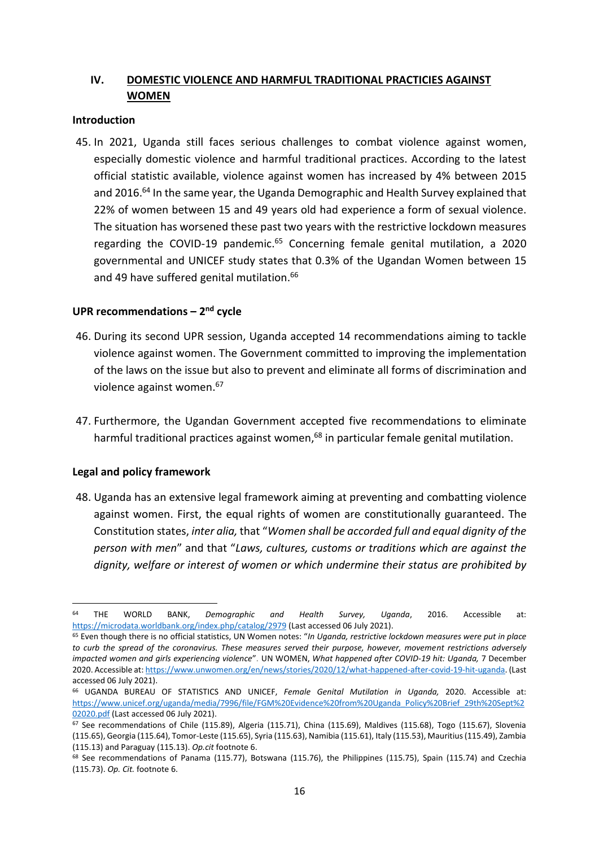## **IV. DOMESTIC VIOLENCE AND HARMFUL TRADITIONAL PRACTICIES AGAINST WOMEN**

#### **Introduction**

45. In 2021, Uganda still faces serious challenges to combat violence against women, especially domestic violence and harmful traditional practices. According to the latest official statistic available, violence against women has increased by 4% between 2015 and 2016.<sup>64</sup> In the same year, the Uganda Demographic and Health Survey explained that 22% of women between 15 and 49 years old had experience a form of sexual violence. The situation has worsened these past two years with the restrictive lockdown measures regarding the COVID-19 pandemic.<sup>65</sup> Concerning female genital mutilation, a 2020 governmental and UNICEF study states that 0.3% of the Ugandan Women between 15 and 49 have suffered genital mutilation. 66

## **UPR recommendations – 2 nd cycle**

- 46. During its second UPR session, Uganda accepted 14 recommendations aiming to tackle violence against women. The Government committed to improving the implementation of the laws on the issue but also to prevent and eliminate all forms of discrimination and violence against women. 67
- 47. Furthermore, the Ugandan Government accepted five recommendations to eliminate harmful traditional practices against women,<sup>68</sup> in particular female genital mutilation.

#### **Legal and policy framework**

48. Uganda has an extensive legal framework aiming at preventing and combatting violence against women. First, the equal rights of women are constitutionally guaranteed. The Constitution states, *inter alia,* that "*Women shall be accorded full and equal dignity of the person with men*" and that "*Laws, cultures, customs or traditions which are against the dignity, welfare or interest of women or which undermine their status are prohibited by* 

<sup>64</sup> THE WORLD BANK, *Demographic and Health Survey, Uganda*, 2016. Accessible at: <https://microdata.worldbank.org/index.php/catalog/2979> (Last accessed 06 July 2021).

<sup>65</sup> Even though there is no official statistics, UN Women notes: "*In Uganda, restrictive lockdown measures were put in place to curb the spread of the coronavirus. These measures served their purpose, however, movement restrictions adversely impacted women and girls experiencing violence*". UN WOMEN, *What happened after COVID-19 hit: Uganda,* 7 December 2020. Accessible at[: https://www.unwomen.org/en/news/stories/2020/12/what-happened-after-covid-19-hit-uganda.](https://www.unwomen.org/en/news/stories/2020/12/what-happened-after-covid-19-hit-uganda) (Last accessed 06 July 2021).

<sup>66</sup> UGANDA BUREAU OF STATISTICS AND UNICEF, *Female Genital Mutilation in Uganda,* 2020. Accessible at: [https://www.unicef.org/uganda/media/7996/file/FGM%20Evidence%20from%20Uganda\\_Policy%20Brief\\_29th%20Sept%2](https://www.unicef.org/uganda/media/7996/file/FGM%20Evidence%20from%20Uganda_Policy%20Brief_29th%20Sept%202020.pdf) [02020.pdf](https://www.unicef.org/uganda/media/7996/file/FGM%20Evidence%20from%20Uganda_Policy%20Brief_29th%20Sept%202020.pdf) (Last accessed 06 July 2021).

 $67$  See recommendations of Chile (115.89), Algeria (115.71), China (115.69), Maldives (115.68), Togo (115.67), Slovenia (115.65), Georgia (115.64), Tomor-Leste (115.65), Syria (115.63), Namibia (115.61), Italy (115.53), Mauritius (115.49), Zambia (115.13) and Paraguay (115.13). *Op.cit* footnote 6.

<sup>68</sup> See recommendations of Panama (115.77), Botswana (115.76), the Philippines (115.75), Spain (115.74) and Czechia (115.73). *Op. Cit.* footnote 6.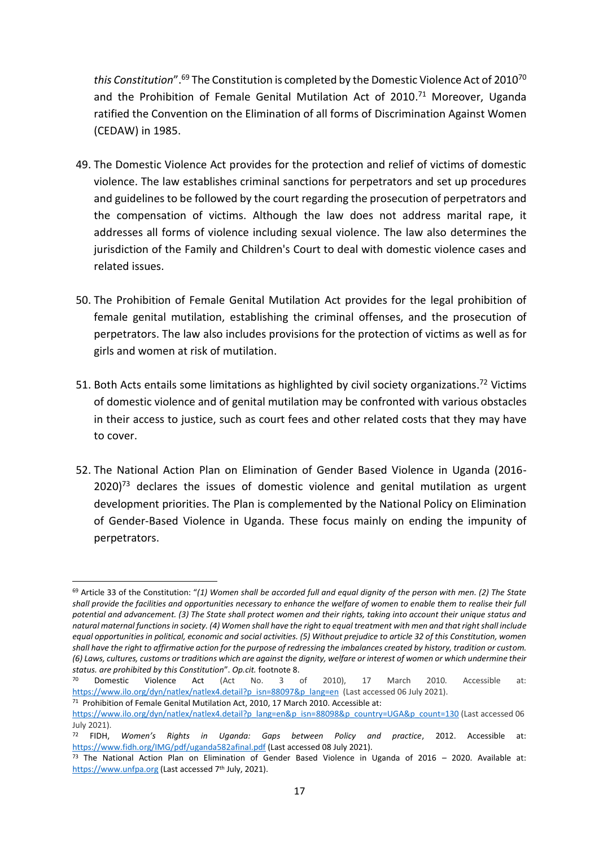t*his Constitution"*. <sup>69</sup> The Constitution is completed by the Domestic Violence Act of 2010<sup>70</sup> and the Prohibition of Female Genital Mutilation Act of 2010. <sup>71</sup> Moreover, Uganda ratified the Convention on the Elimination of all forms of Discrimination Against Women (CEDAW) in 1985.

- 49. The Domestic Violence Act provides for the protection and relief of victims of domestic violence. The law establishes criminal sanctions for perpetrators and set up procedures and guidelines to be followed by the court regarding the prosecution of perpetrators and the compensation of victims. Although the law does not address marital rape, it addresses all forms of violence including sexual violence. The law also determines the jurisdiction of the Family and Children's Court to deal with domestic violence cases and related issues.
- 50. The Prohibition of Female Genital Mutilation Act provides for the legal prohibition of female genital mutilation, establishing the criminal offenses, and the prosecution of perpetrators. The law also includes provisions for the protection of victims as well as for girls and women at risk of mutilation.
- 51. Both Acts entails some limitations as highlighted by civil society organizations.<sup>72</sup> Victims of domestic violence and of genital mutilation may be confronted with various obstacles in their access to justice, such as court fees and other related costs that they may have to cover.
- 52. The National Action Plan on Elimination of Gender Based Violence in Uganda (2016-  $2020$ <sup>73</sup> declares the issues of domestic violence and genital mutilation as urgent development priorities. The Plan is complemented by the National Policy on Elimination of Gender-Based Violence in Uganda. These focus mainly on ending the impunity of perpetrators.

<sup>69</sup> Article 33 of the Constitution: "*(1) Women shall be accorded full and equal dignity of the person with men. (2) The State shall provide the facilities and opportunities necessary to enhance the welfare of women to enable them to realise their full potential and advancement. (3) The State shall protect women and their rights, taking into account their unique status and natural maternal functions in society. (4) Women shall have the right to equal treatment with men and that right shall include equal opportunities in political, economic and social activities. (5) Without prejudice to article 32 of this Constitution, women shall have the right to affirmative action for the purpose of redressing the imbalances created by history, tradition or custom. (6) Laws, cultures, customs or traditions which are against the dignity, welfare or interest of women or which undermine their status. are prohibited by this Constitution*". *Op.cit.* footnote 8.

<sup>&</sup>lt;sup>70</sup> Domestic Violence Act (Act No. 3 of 2010), 17 March 2010. Accessible at: [https://www.ilo.org/dyn/natlex/natlex4.detail?p\\_isn=88097&p\\_lang=en](https://www.ilo.org/dyn/natlex/natlex4.detail?p_isn=88097&p_lang=en) (Last accessed 06 July 2021).

<sup>&</sup>lt;sup>71</sup> Prohibition of Female Genital Mutilation Act, 2010, 17 March 2010. Accessible at: [https://www.ilo.org/dyn/natlex/natlex4.detail?p\\_lang=en&p\\_isn=88098&p\\_country=UGA&p\\_count=130](https://www.ilo.org/dyn/natlex/natlex4.detail?p_lang=en&p_isn=88098&p_country=UGA&p_count=130) (Last accessed 06 July 2021).

<sup>72</sup> FIDH, *Women's Rights in Uganda: Gaps between Policy and practice*, 2012. Accessible at: <https://www.fidh.org/IMG/pdf/uganda582afinal.pdf> (Last accessed 08 July 2021).

<sup>&</sup>lt;sup>73</sup> The National Action Plan on Elimination of Gender Based Violence in Uganda of 2016 - 2020. Available at: [https://www.unfpa.org](https://www.unfpa.org/) (Last accessed 7<sup>th</sup> July, 2021).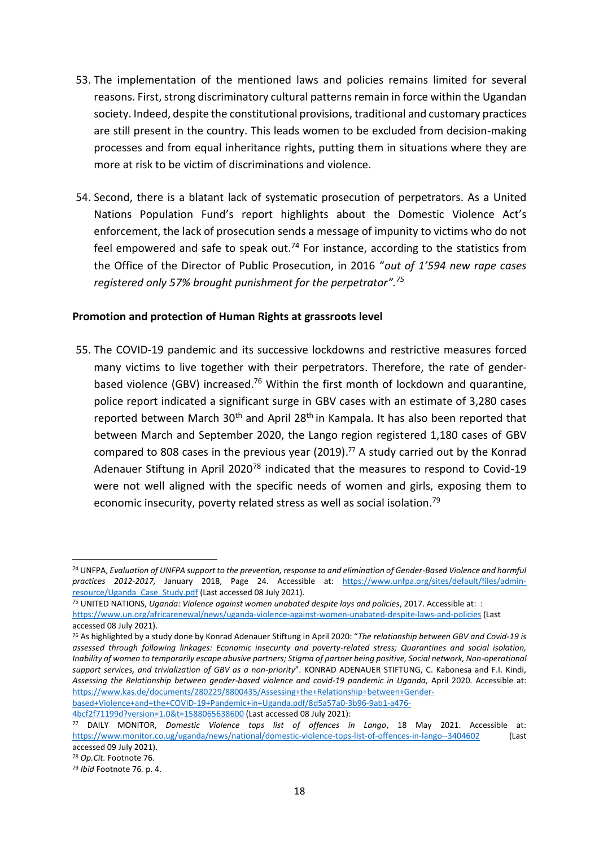- 53. The implementation of the mentioned laws and policies remains limited for several reasons. First, strong discriminatory cultural patterns remain in force within the Ugandan society. Indeed, despite the constitutional provisions, traditional and customary practices are still present in the country. This leads women to be excluded from decision-making processes and from equal inheritance rights, putting them in situations where they are more at risk to be victim of discriminations and violence.
- 54. Second, there is a blatant lack of systematic prosecution of perpetrators. As a United Nations Population Fund's report highlights about the Domestic Violence Act's enforcement, the lack of prosecution sends a message of impunity to victims who do not feel empowered and safe to speak out.<sup>74</sup> For instance, according to the statistics from the Office of the Director of Public Prosecution, in 2016 "*out of 1'594 new rape cases registered only 57% brought punishment for the perpetrator". 75*

#### **Promotion and protection of Human Rights at grassroots level**

55. The COVID-19 pandemic and its successive lockdowns and restrictive measures forced many victims to live together with their perpetrators. Therefore, the rate of genderbased violence (GBV) increased.<sup>76</sup> Within the first month of lockdown and quarantine, police report indicated a significant surge in GBV cases with an estimate of 3,280 cases reported between March  $30<sup>th</sup>$  and April 28<sup>th</sup> in Kampala. It has also been reported that between March and September 2020, the Lango region registered 1,180 cases of GBV compared to 808 cases in the previous year (2019).<sup>77</sup> A study carried out by the Konrad Adenauer Stiftung in April 2020<sup>78</sup> indicated that the measures to respond to Covid-19 were not well aligned with the specific needs of women and girls, exposing them to economic insecurity, poverty related stress as well as social isolation.<sup>79</sup>

<sup>74</sup> UNFPA, *Evaluation of UNFPA support to the prevention, response to and elimination of Gender-Based Violence and harmful practices 2012-2017,* January 2018, Page 24. Accessible at: [https://www.unfpa.org/sites/default/files/admin](https://www.unfpa.org/sites/default/files/admin-resource/Uganda_Case_Study.pdf)[resource/Uganda\\_Case\\_Study.pdf](https://www.unfpa.org/sites/default/files/admin-resource/Uganda_Case_Study.pdf) (Last accessed 08 July 2021).

<sup>75</sup> UNITED NATIONS, *Uganda: Violence against women unabated despite lays and policies*, 2017. Accessible at: : <https://www.un.org/africarenewal/news/uganda-violence-against-women-unabated-despite-laws-and-policies> (Last accessed 08 July 2021).

<sup>76</sup> As highlighted by a study done by Konrad Adenauer Stiftung in April 2020: "*The relationship between GBV and Covid-19 is assessed through following linkages: Economic insecurity and poverty-related stress; Quarantines and social isolation, Inability of women to temporarily escape abusive partners; Stigma of partner being positive, Social network, Non-operational support services, and trivialization of GBV as a non-priority*". KONRAD ADENAUER STIFTUNG, C. Kabonesa and F.I. Kindi, *Assessing the Relationship between gender-based violence and covid-19 pandemic in Uganda,* April 2020. Accessible at: [https://www.kas.de/documents/280229/8800435/Assessing+the+Relationship+between+Gender](https://www.kas.de/documents/280229/8800435/Assessing+the+Relationship+between+Gender-based+Violence+and+the+COVID-19+Pandemic+in+Uganda.pdf/8d5a57a0-3b96-9ab1-a476-4bcf2f71199d?version=1.0&t=1588065638600)[based+Violence+and+the+COVID-19+Pandemic+in+Uganda.pdf/8d5a57a0-3b96-9ab1-a476-](https://www.kas.de/documents/280229/8800435/Assessing+the+Relationship+between+Gender-based+Violence+and+the+COVID-19+Pandemic+in+Uganda.pdf/8d5a57a0-3b96-9ab1-a476-4bcf2f71199d?version=1.0&t=1588065638600)

[<sup>4</sup>bcf2f71199d?version=1.0&t=1588065638600](https://www.kas.de/documents/280229/8800435/Assessing+the+Relationship+between+Gender-based+Violence+and+the+COVID-19+Pandemic+in+Uganda.pdf/8d5a57a0-3b96-9ab1-a476-4bcf2f71199d?version=1.0&t=1588065638600) (Last accessed 08 July 2021):

<sup>77</sup> DAILY MONITOR, *Domestic Violence tops list of offences in Lango*, 18 May 2021. Accessible at: <https://www.monitor.co.ug/uganda/news/national/domestic-violence-tops-list-of-offences-in-lango--3404602> (Last accessed 09 July 2021).

<sup>78</sup> *Op.Cit.* Footnote 76.

<sup>79</sup> *Ibid* Footnote 76*.* p. 4.